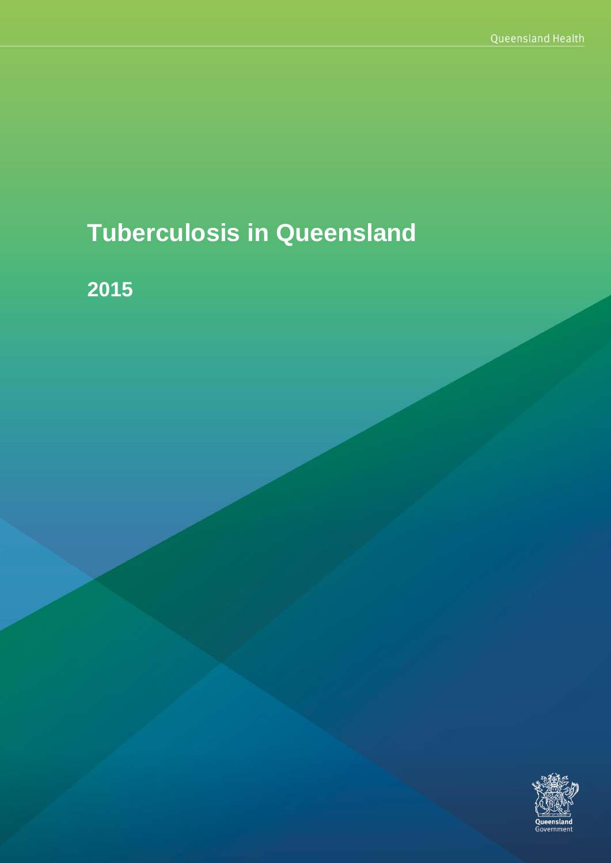# **Tuberculosis in Queensland**

**2015**

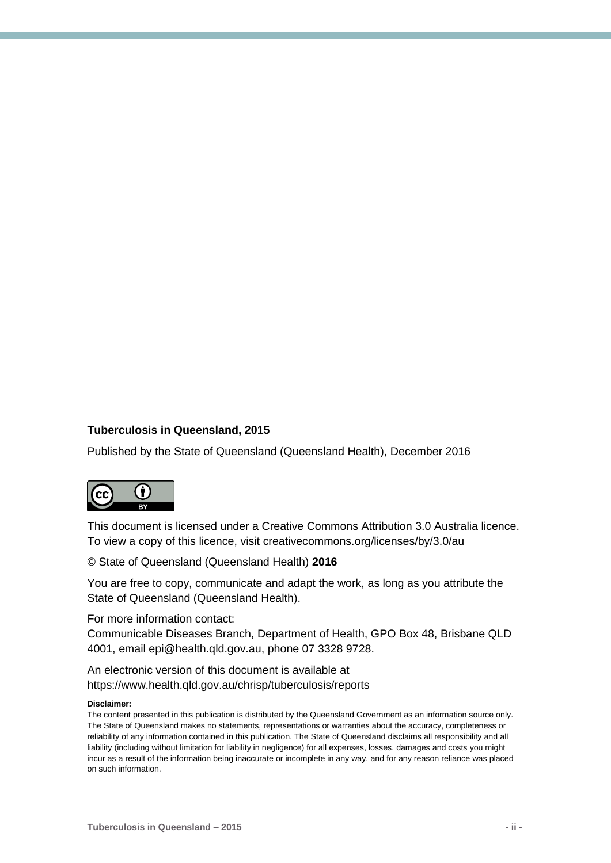#### **Tuberculosis in Queensland, 2015**

Published by the State of Queensland (Queensland Health), December 2016



This document is licensed under a Creative Commons Attribution 3.0 Australia licence. To view a copy of this licence, visit creativecommons.org/licenses/by/3.0/au

© State of Queensland (Queensland Health) **2016**

You are free to copy, communicate and adapt the work, as long as you attribute the State of Queensland (Queensland Health).

For more information contact:

Communicable Diseases Branch, Department of Health, GPO Box 48, Brisbane QLD 4001, email epi@health.qld.gov.au, phone 07 3328 9728.

An electronic version of this document is available at https://www.health.qld.gov.au/chrisp/tuberculosis/reports

#### **Disclaimer:**

The content presented in this publication is distributed by the Queensland Government as an information source only. The State of Queensland makes no statements, representations or warranties about the accuracy, completeness or reliability of any information contained in this publication. The State of Queensland disclaims all responsibility and all liability (including without limitation for liability in negligence) for all expenses, losses, damages and costs you might incur as a result of the information being inaccurate or incomplete in any way, and for any reason reliance was placed on such information.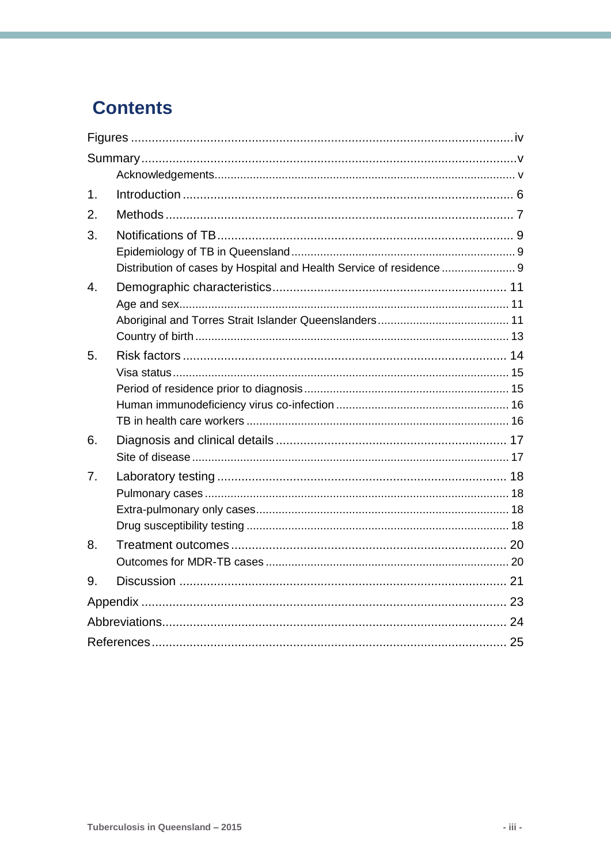## **Contents**

| 1.             |                                                                      |  |
|----------------|----------------------------------------------------------------------|--|
| 2.             |                                                                      |  |
| 3.             |                                                                      |  |
|                |                                                                      |  |
|                | Distribution of cases by Hospital and Health Service of residence  9 |  |
| 4.             |                                                                      |  |
|                |                                                                      |  |
|                |                                                                      |  |
| 5.             |                                                                      |  |
|                |                                                                      |  |
|                |                                                                      |  |
|                |                                                                      |  |
|                |                                                                      |  |
| 6.             |                                                                      |  |
|                |                                                                      |  |
| 7 <sub>1</sub> |                                                                      |  |
|                |                                                                      |  |
|                |                                                                      |  |
| 8.             |                                                                      |  |
|                |                                                                      |  |
| 9.             |                                                                      |  |
|                |                                                                      |  |
|                |                                                                      |  |
|                |                                                                      |  |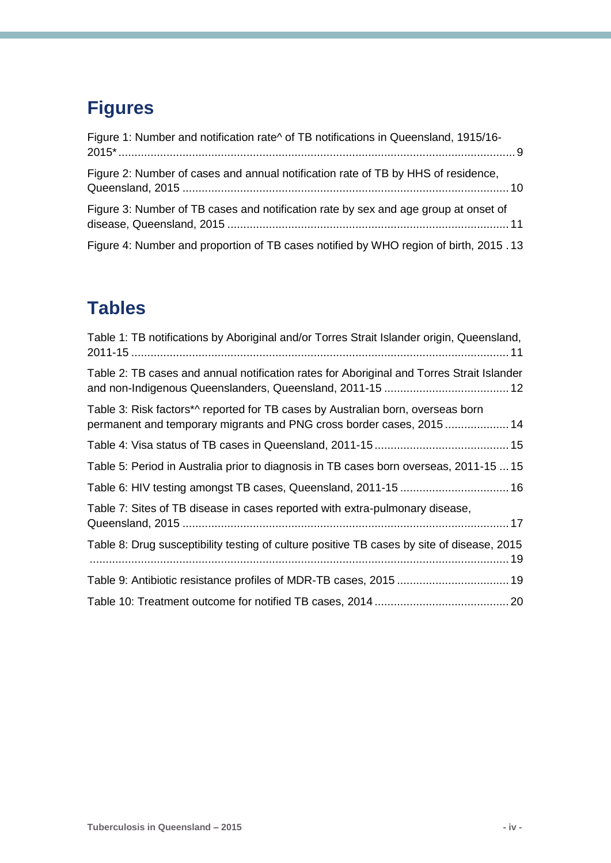## <span id="page-3-0"></span>**Figures**

| Figure 1: Number and notification rate^ of TB notifications in Queensland, 1915/16-  |
|--------------------------------------------------------------------------------------|
| Figure 2: Number of cases and annual notification rate of TB by HHS of residence,    |
| Figure 3: Number of TB cases and notification rate by sex and age group at onset of  |
| Figure 4: Number and proportion of TB cases notified by WHO region of birth, 2015.13 |

## **Tables**

| Table 1: TB notifications by Aboriginal and/or Torres Strait Islander origin, Queensland,                                                               |
|---------------------------------------------------------------------------------------------------------------------------------------------------------|
| Table 2: TB cases and annual notification rates for Aboriginal and Torres Strait Islander                                                               |
| Table 3: Risk factors*^ reported for TB cases by Australian born, overseas born<br>permanent and temporary migrants and PNG cross border cases, 2015 14 |
|                                                                                                                                                         |
| Table 5: Period in Australia prior to diagnosis in TB cases born overseas, 2011-15  15                                                                  |
|                                                                                                                                                         |
| Table 7: Sites of TB disease in cases reported with extra-pulmonary disease,                                                                            |
| Table 8: Drug susceptibility testing of culture positive TB cases by site of disease, 2015                                                              |
| Table 9: Antibiotic resistance profiles of MDR-TB cases, 2015 19                                                                                        |
|                                                                                                                                                         |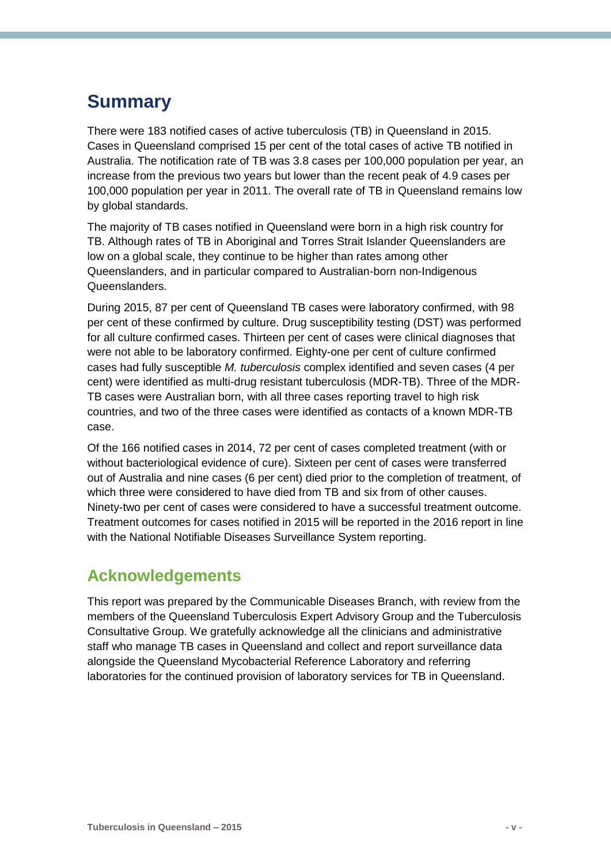## <span id="page-4-0"></span>**Summary**

There were 183 notified cases of active tuberculosis (TB) in Queensland in 2015. Cases in Queensland comprised 15 per cent of the total cases of active TB notified in Australia. The notification rate of TB was 3.8 cases per 100,000 population per year, an increase from the previous two years but lower than the recent peak of 4.9 cases per 100,000 population per year in 2011. The overall rate of TB in Queensland remains low by global standards.

The majority of TB cases notified in Queensland were born in a high risk country for TB. Although rates of TB in Aboriginal and Torres Strait Islander Queenslanders are low on a global scale, they continue to be higher than rates among other Queenslanders, and in particular compared to Australian-born non-Indigenous Queenslanders.

During 2015, 87 per cent of Queensland TB cases were laboratory confirmed, with 98 per cent of these confirmed by culture. Drug susceptibility testing (DST) was performed for all culture confirmed cases. Thirteen per cent of cases were clinical diagnoses that were not able to be laboratory confirmed. Eighty-one per cent of culture confirmed cases had fully susceptible *M. tuberculosis* complex identified and seven cases (4 per cent) were identified as multi-drug resistant tuberculosis (MDR-TB). Three of the MDR-TB cases were Australian born, with all three cases reporting travel to high risk countries, and two of the three cases were identified as contacts of a known MDR-TB case.

Of the 166 notified cases in 2014, 72 per cent of cases completed treatment (with or without bacteriological evidence of cure). Sixteen per cent of cases were transferred out of Australia and nine cases (6 per cent) died prior to the completion of treatment, of which three were considered to have died from TB and six from of other causes. Ninety-two per cent of cases were considered to have a successful treatment outcome. Treatment outcomes for cases notified in 2015 will be reported in the 2016 report in line with the National Notifiable Diseases Surveillance System reporting.

### <span id="page-4-1"></span>**Acknowledgements**

This report was prepared by the Communicable Diseases Branch, with review from the members of the Queensland Tuberculosis Expert Advisory Group and the Tuberculosis Consultative Group. We gratefully acknowledge all the clinicians and administrative staff who manage TB cases in Queensland and collect and report surveillance data alongside the Queensland Mycobacterial Reference Laboratory and referring laboratories for the continued provision of laboratory services for TB in Queensland.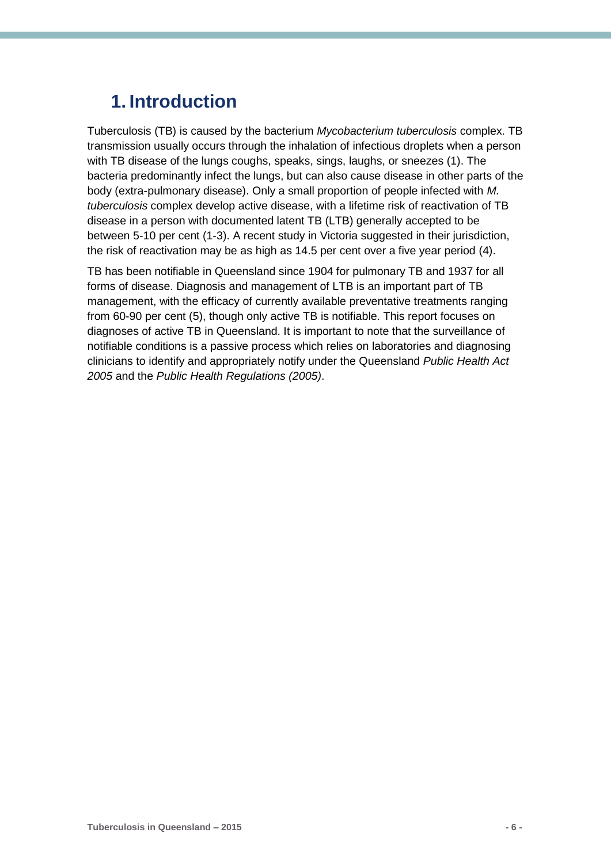## <span id="page-5-0"></span>**1. Introduction**

Tuberculosis (TB) is caused by the bacterium *Mycobacterium tuberculosis* complex. TB transmission usually occurs through the inhalation of infectious droplets when a person with TB disease of the lungs coughs, speaks, sings, laughs, or sneezes (1). The bacteria predominantly infect the lungs, but can also cause disease in other parts of the body (extra-pulmonary disease). Only a small proportion of people infected with *M. tuberculosis* complex develop active disease, with a lifetime risk of reactivation of TB disease in a person with documented latent TB (LTB) generally accepted to be between 5-10 per cent (1-3). A recent study in Victoria suggested in their jurisdiction, the risk of reactivation may be as high as 14.5 per cent over a five year period (4).

TB has been notifiable in Queensland since 1904 for pulmonary TB and 1937 for all forms of disease. Diagnosis and management of LTB is an important part of TB management, with the efficacy of currently available preventative treatments ranging from 60-90 per cent (5), though only active TB is notifiable. This report focuses on diagnoses of active TB in Queensland. It is important to note that the surveillance of notifiable conditions is a passive process which relies on laboratories and diagnosing clinicians to identify and appropriately notify under the Queensland *Public Health Act 2005* and the *Public Health Regulations (2005)*.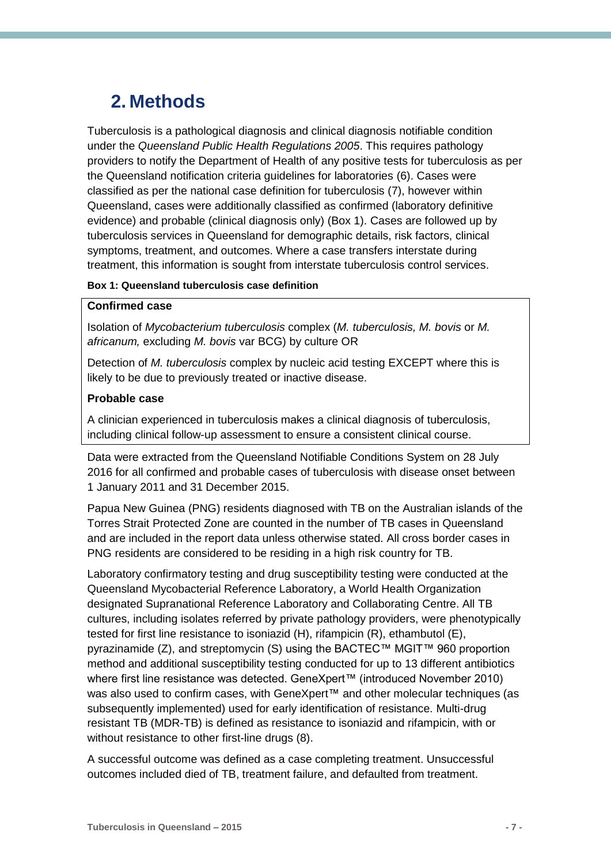## <span id="page-6-0"></span>**2. Methods**

Tuberculosis is a pathological diagnosis and clinical diagnosis notifiable condition under the *Queensland Public Health Regulations 2005*. This requires pathology providers to notify the Department of Health of any positive tests for tuberculosis as per the Queensland notification criteria guidelines for laboratories (6). Cases were classified as per the national case definition for tuberculosis (7), however within Queensland, cases were additionally classified as confirmed (laboratory definitive evidence) and probable (clinical diagnosis only) (Box 1). Cases are followed up by tuberculosis services in Queensland for demographic details, risk factors, clinical symptoms, treatment, and outcomes. Where a case transfers interstate during treatment, this information is sought from interstate tuberculosis control services.

#### **Box 1: Queensland tuberculosis case definition**

#### **Confirmed case**

Isolation of *Mycobacterium tuberculosis* complex (*M. tuberculosis, M. bovis* or *M. africanum,* excluding *M. bovis* var BCG) by culture OR

Detection of *M. tuberculosis* complex by nucleic acid testing EXCEPT where this is likely to be due to previously treated or inactive disease.

#### **Probable case**

A clinician experienced in tuberculosis makes a clinical diagnosis of tuberculosis, including clinical follow-up assessment to ensure a consistent clinical course.

Data were extracted from the Queensland Notifiable Conditions System on 28 July 2016 for all confirmed and probable cases of tuberculosis with disease onset between 1 January 2011 and 31 December 2015.

Papua New Guinea (PNG) residents diagnosed with TB on the Australian islands of the Torres Strait Protected Zone are counted in the number of TB cases in Queensland and are included in the report data unless otherwise stated. All cross border cases in PNG residents are considered to be residing in a high risk country for TB.

Laboratory confirmatory testing and drug susceptibility testing were conducted at the Queensland Mycobacterial Reference Laboratory, a World Health Organization designated Supranational Reference Laboratory and Collaborating Centre. All TB cultures, including isolates referred by private pathology providers, were phenotypically tested for first line resistance to isoniazid (H), rifampicin (R), ethambutol (E), pyrazinamide (Z), and streptomycin (S) using the BACTEC™ MGIT™ 960 proportion method and additional susceptibility testing conducted for up to 13 different antibiotics where first line resistance was detected. GeneXpert™ (introduced November 2010) was also used to confirm cases, with GeneXpert™ and other molecular techniques (as subsequently implemented) used for early identification of resistance. Multi-drug resistant TB (MDR-TB) is defined as resistance to isoniazid and rifampicin, with or without resistance to other first-line drugs (8).

A successful outcome was defined as a case completing treatment. Unsuccessful outcomes included died of TB, treatment failure, and defaulted from treatment.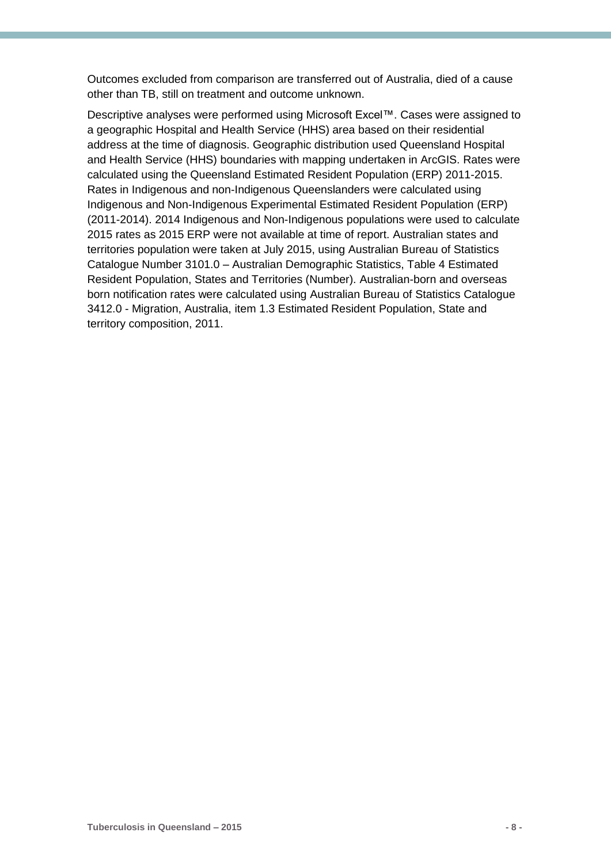Outcomes excluded from comparison are transferred out of Australia, died of a cause other than TB, still on treatment and outcome unknown.

Descriptive analyses were performed using Microsoft Excel™. Cases were assigned to a geographic Hospital and Health Service (HHS) area based on their residential address at the time of diagnosis. Geographic distribution used Queensland Hospital and Health Service (HHS) boundaries with mapping undertaken in ArcGIS. Rates were calculated using the Queensland Estimated Resident Population (ERP) 2011-2015. Rates in Indigenous and non-Indigenous Queenslanders were calculated using Indigenous and Non-Indigenous Experimental Estimated Resident Population (ERP) (2011-2014). 2014 Indigenous and Non-Indigenous populations were used to calculate 2015 rates as 2015 ERP were not available at time of report. Australian states and territories population were taken at July 2015, using Australian Bureau of Statistics Catalogue Number 3101.0 – Australian Demographic Statistics, Table 4 Estimated Resident Population, States and Territories (Number). Australian-born and overseas born notification rates were calculated using Australian Bureau of Statistics Catalogue 3412.0 - Migration, Australia, item 1.3 Estimated Resident Population, State and territory composition, 2011.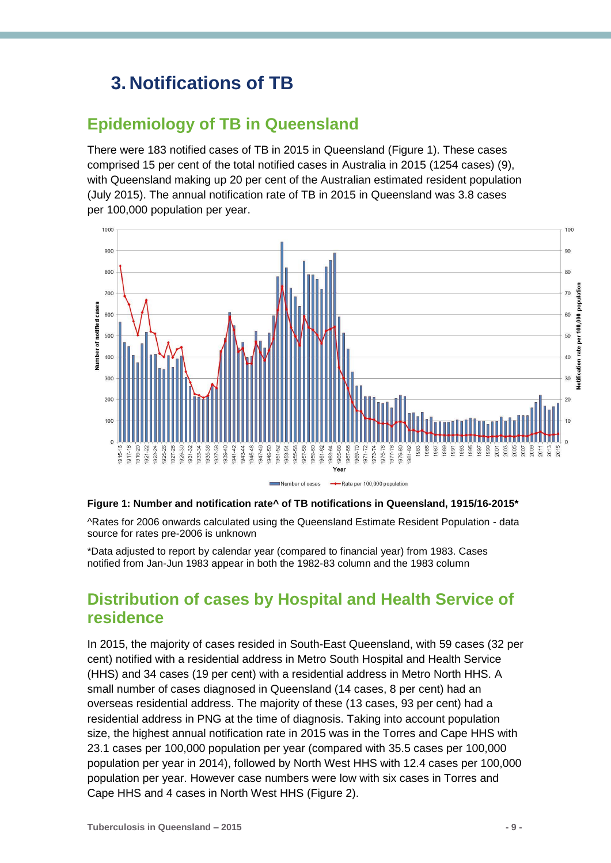## <span id="page-8-0"></span>**3. Notifications of TB**

### <span id="page-8-1"></span>**Epidemiology of TB in Queensland**

There were 183 notified cases of TB in 2015 in Queensland (Figure 1). These cases comprised 15 per cent of the total notified cases in Australia in 2015 (1254 cases) (9), with Queensland making up 20 per cent of the Australian estimated resident population (July 2015). The annual notification rate of TB in 2015 in Queensland was 3.8 cases per 100,000 population per year.



#### <span id="page-8-3"></span>**Figure 1: Number and notification rate^ of TB notifications in Queensland, 1915/16-2015\***

^Rates for 2006 onwards calculated using the Queensland Estimate Resident Population - data source for rates pre-2006 is unknown

\*Data adjusted to report by calendar year (compared to financial year) from 1983. Cases notified from Jan-Jun 1983 appear in both the 1982-83 column and the 1983 column

### <span id="page-8-2"></span>**Distribution of cases by Hospital and Health Service of residence**

In 2015, the majority of cases resided in South-East Queensland, with 59 cases (32 per cent) notified with a residential address in Metro South Hospital and Health Service (HHS) and 34 cases (19 per cent) with a residential address in Metro North HHS. A small number of cases diagnosed in Queensland (14 cases, 8 per cent) had an overseas residential address. The majority of these (13 cases, 93 per cent) had a residential address in PNG at the time of diagnosis. Taking into account population size, the highest annual notification rate in 2015 was in the Torres and Cape HHS with 23.1 cases per 100,000 population per year (compared with 35.5 cases per 100,000 population per year in 2014), followed by North West HHS with 12.4 cases per 100,000 population per year. However case numbers were low with six cases in Torres and Cape HHS and 4 cases in North West HHS (Figure 2).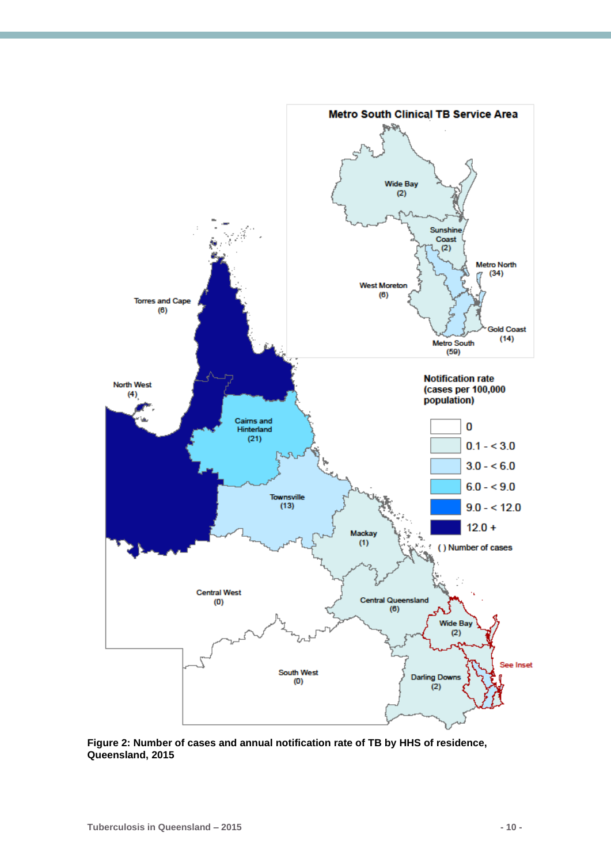<span id="page-9-0"></span>

**Figure 2: Number of cases and annual notification rate of TB by HHS of residence, Queensland, 2015**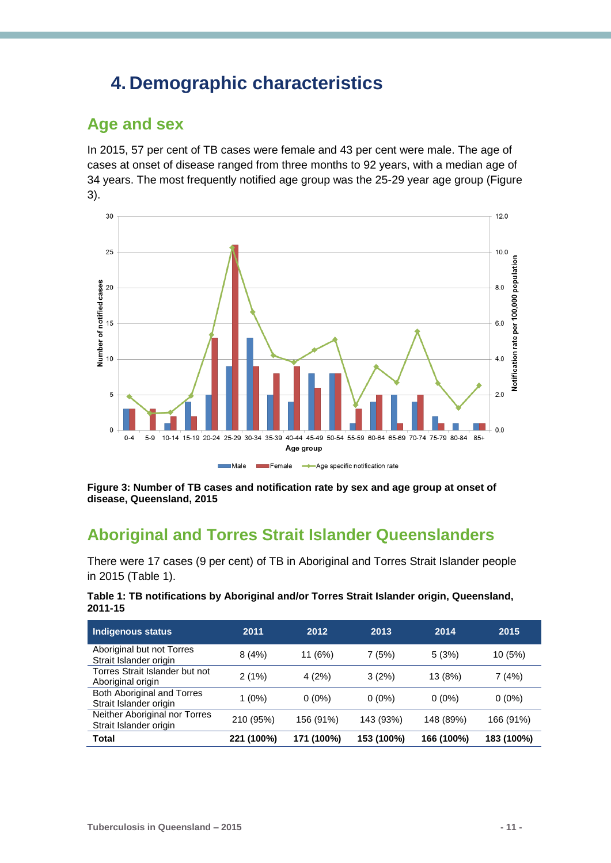## <span id="page-10-0"></span>**4. Demographic characteristics**

### <span id="page-10-1"></span>**Age and sex**

In 2015, 57 per cent of TB cases were female and 43 per cent were male. The age of cases at onset of disease ranged from three months to 92 years, with a median age of 34 years. The most frequently notified age group was the 25-29 year age group (Figure 3).



<span id="page-10-3"></span>**Figure 3: Number of TB cases and notification rate by sex and age group at onset of disease, Queensland, 2015**

### <span id="page-10-2"></span>**Aboriginal and Torres Strait Islander Queenslanders**

There were 17 cases (9 per cent) of TB in Aboriginal and Torres Strait Islander people in 2015 (Table 1).

<span id="page-10-4"></span>

| Table 1: TB notifications by Aboriginal and/or Torres Strait Islander origin, Queensland, |  |  |
|-------------------------------------------------------------------------------------------|--|--|
| 2011-15                                                                                   |  |  |

| Indigenous status                                       | 2011       | 2012       | 2013       | 2014       | 2015       |
|---------------------------------------------------------|------------|------------|------------|------------|------------|
| Aboriginal but not Torres<br>Strait Islander origin     | 8(4%)      | 11 (6%)    | 7(5%)      | 5(3%)      | 10 (5%)    |
| Torres Strait Islander but not<br>Aboriginal origin     | 2(1%)      | 4(2%)      | 3(2%)      | 13 (8%)    | 7(4%)      |
| Both Aboriginal and Torres<br>Strait Islander origin    | 1 (0%)     | $0(0\%)$   | $0(0\%)$   | $0(0\%)$   | $0(0\%)$   |
| Neither Aboriginal nor Torres<br>Strait Islander origin | 210 (95%)  | 156 (91%)  | 143 (93%)  | 148 (89%)  | 166 (91%)  |
| <b>Total</b>                                            | 221 (100%) | 171 (100%) | 153 (100%) | 166 (100%) | 183 (100%) |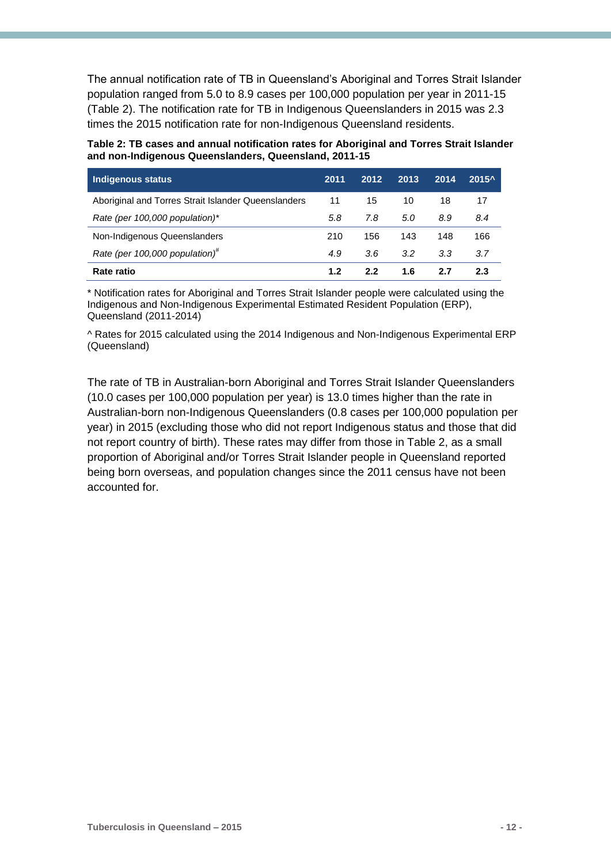The annual notification rate of TB in Queensland's Aboriginal and Torres Strait Islander population ranged from 5.0 to 8.9 cases per 100,000 population per year in 2011-15 (Table 2). The notification rate for TB in Indigenous Queenslanders in 2015 was 2.3 times the 2015 notification rate for non-Indigenous Queensland residents.

<span id="page-11-0"></span>**Table 2: TB cases and annual notification rates for Aboriginal and Torres Strait Islander and non-Indigenous Queenslanders, Queensland, 2011-15**

| <b>Indigenous status</b>                            | 2011 | 2012 | 2013 | 2014 | $2015^{\circ}$ |
|-----------------------------------------------------|------|------|------|------|----------------|
| Aboriginal and Torres Strait Islander Queenslanders | 11   | 15   | 10   | 18   | 17             |
| Rate (per 100,000 population)*                      | 5.8  | 7.8  | 5.0  | 8.9  | 8.4            |
| Non-Indigenous Queenslanders                        | 210  | 156  | 143  | 148  | 166            |
| Rate (per 100,000 population) <sup>#</sup>          | 4.9  | 3.6  | 3.2  | 3.3  | 3.7            |
| Rate ratio                                          | 1.2  | 2.2  | 1.6  | 2.7  | 2.3            |

\* Notification rates for Aboriginal and Torres Strait Islander people were calculated using the Indigenous and Non-Indigenous Experimental Estimated Resident Population (ERP), Queensland (2011-2014)

^ Rates for 2015 calculated using the 2014 Indigenous and Non-Indigenous Experimental ERP (Queensland)

The rate of TB in Australian-born Aboriginal and Torres Strait Islander Queenslanders (10.0 cases per 100,000 population per year) is 13.0 times higher than the rate in Australian-born non-Indigenous Queenslanders (0.8 cases per 100,000 population per year) in 2015 (excluding those who did not report Indigenous status and those that did not report country of birth). These rates may differ from those in Table 2, as a small proportion of Aboriginal and/or Torres Strait Islander people in Queensland reported being born overseas, and population changes since the 2011 census have not been accounted for.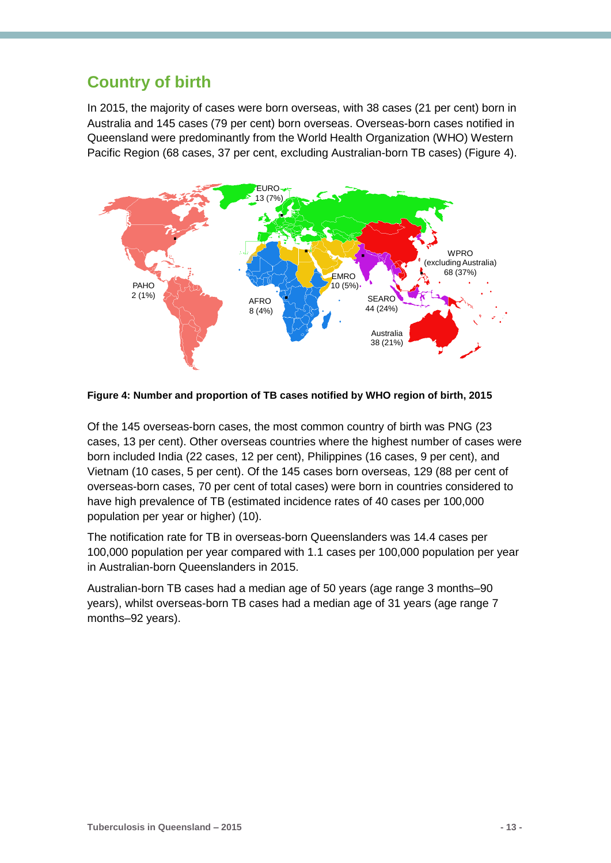### <span id="page-12-0"></span>**Country of birth**

In 2015, the majority of cases were born overseas, with 38 cases (21 per cent) born in Australia and 145 cases (79 per cent) born overseas. Overseas-born cases notified in Queensland were predominantly from the World Health Organization (WHO) Western Pacific Region (68 cases, 37 per cent, excluding Australian-born TB cases) (Figure 4).



<span id="page-12-1"></span>**Figure 4: Number and proportion of TB cases notified by WHO region of birth, 2015**

Of the 145 overseas-born cases, the most common country of birth was PNG (23 cases, 13 per cent). Other overseas countries where the highest number of cases were born included India (22 cases, 12 per cent), Philippines (16 cases, 9 per cent), and Vietnam (10 cases, 5 per cent). Of the 145 cases born overseas, 129 (88 per cent of overseas-born cases, 70 per cent of total cases) were born in countries considered to have high prevalence of TB (estimated incidence rates of 40 cases per 100,000 population per year or higher) (10).

The notification rate for TB in overseas-born Queenslanders was 14.4 cases per 100,000 population per year compared with 1.1 cases per 100,000 population per year in Australian-born Queenslanders in 2015.

Australian-born TB cases had a median age of 50 years (age range 3 months–90 years), whilst overseas-born TB cases had a median age of 31 years (age range 7 months–92 years).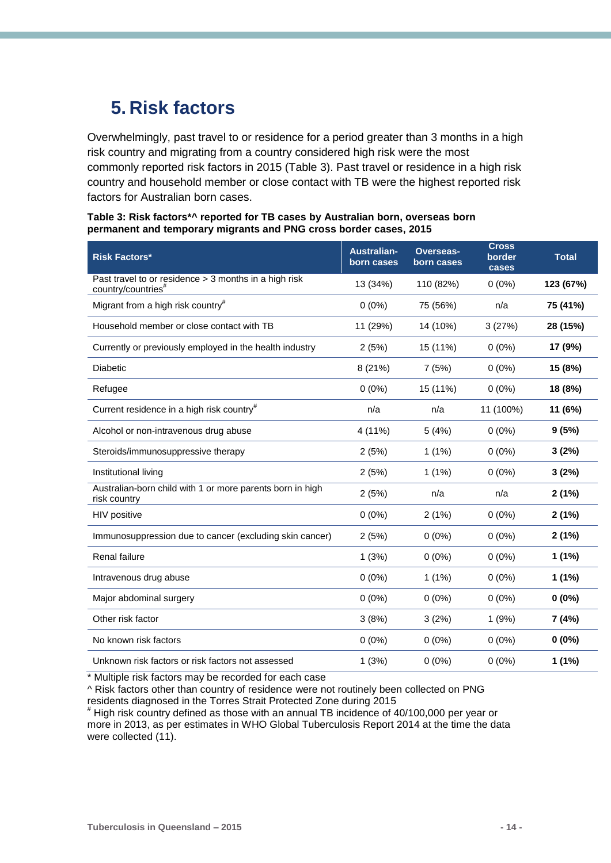## <span id="page-13-0"></span>**5. Risk factors**

Overwhelmingly, past travel to or residence for a period greater than 3 months in a high risk country and migrating from a country considered high risk were the most commonly reported risk factors in 2015 (Table 3). Past travel or residence in a high risk country and household member or close contact with TB were the highest reported risk factors for Australian born cases.

#### <span id="page-13-1"></span>**Table 3: Risk factors\*^ reported for TB cases by Australian born, overseas born permanent and temporary migrants and PNG cross border cases, 2015**

| <b>Risk Factors*</b>                                                                    | <b>Australian-</b><br>born cases | <b>Overseas-</b><br>born cases | <b>Cross</b><br>border<br>cases | <b>Total</b> |
|-----------------------------------------------------------------------------------------|----------------------------------|--------------------------------|---------------------------------|--------------|
| Past travel to or residence > 3 months in a high risk<br>country/countries <sup>#</sup> | 13 (34%)                         | 110 (82%)                      | $0(0\%)$                        | 123 (67%)    |
| Migrant from a high risk country <sup>#</sup>                                           | $0(0\%)$                         | 75 (56%)                       | n/a                             | 75 (41%)     |
| Household member or close contact with TB                                               | 11 (29%)                         | 14 (10%)                       | 3(27%)                          | 28 (15%)     |
| Currently or previously employed in the health industry                                 | 2(5%)                            | 15 (11%)                       | $0(0\%)$                        | 17 (9%)      |
| <b>Diabetic</b>                                                                         | 8(21%)                           | 7(5%)                          | $0(0\%)$                        | 15 (8%)      |
| Refugee                                                                                 | $0(0\%)$                         | 15 (11%)                       | $0(0\%)$                        | 18 (8%)      |
| Current residence in a high risk country <sup>#</sup>                                   | n/a                              | n/a                            | 11 (100%)                       | 11 (6%)      |
| Alcohol or non-intravenous drug abuse                                                   | 4 (11%)                          | 5(4%)                          | $0(0\%)$                        | 9(5%)        |
| Steroids/immunosuppressive therapy                                                      | 2(5%)                            | 1(1%)                          | $0(0\%)$                        | 3(2%)        |
| Institutional living                                                                    | 2(5%)                            | 1(1%)                          | $0(0\%)$                        | 3(2%)        |
| Australian-born child with 1 or more parents born in high<br>risk country               | 2(5%)                            | n/a                            | n/a                             | 2(1%)        |
| HIV positive                                                                            | $0(0\%)$                         | 2(1%)                          | $0(0\%)$                        | 2(1%)        |
| Immunosuppression due to cancer (excluding skin cancer)                                 | 2(5%)                            | $0(0\%)$                       | $0(0\%)$                        | 2(1%)        |
| Renal failure                                                                           | 1(3%)                            | $0(0\%)$                       | $0(0\%)$                        | 1(1%)        |
| Intravenous drug abuse                                                                  | $0(0\%)$                         | 1(1%)                          | $0(0\%)$                        | 1(1%)        |
| Major abdominal surgery                                                                 | $0(0\%)$                         | $0(0\%)$                       | $0(0\%)$                        | $0(0\%)$     |
| Other risk factor                                                                       | 3(8%)                            | 3(2%)                          | 1(9%)                           | 7 (4%)       |
| No known risk factors                                                                   | $0(0\%)$                         | $0(0\%)$                       | $0(0\%)$                        | $0(0\%)$     |
| Unknown risk factors or risk factors not assessed                                       | 1(3%)                            | $0(0\%)$                       | $0(0\%)$                        | 1(1%)        |

\* Multiple risk factors may be recorded for each case

^ Risk factors other than country of residence were not routinely been collected on PNG residents diagnosed in the Torres Strait Protected Zone during 2015

# High risk country defined as those with an annual TB incidence of 40/100,000 per year or more in 2013, as per estimates in WHO Global Tuberculosis Report 2014 at the time the data were collected (11).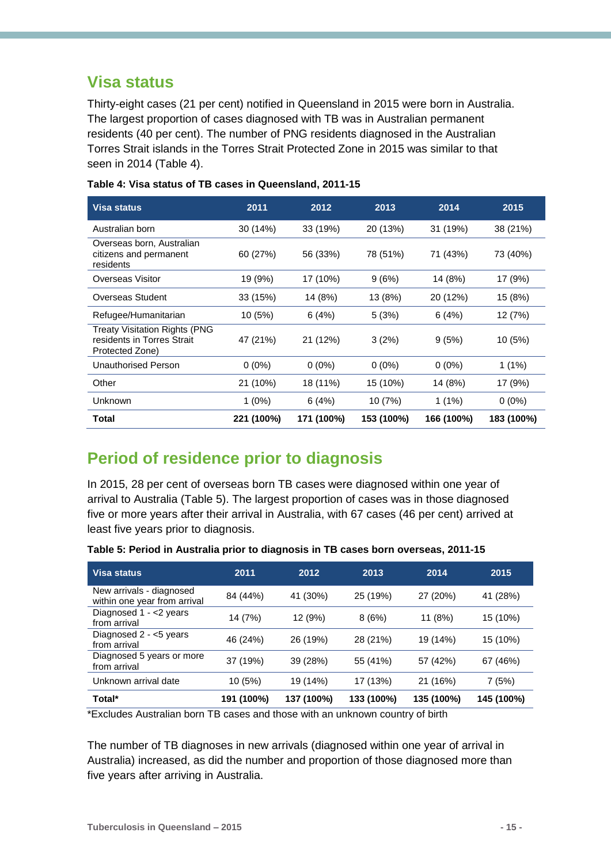### <span id="page-14-0"></span>**Visa status**

Thirty-eight cases (21 per cent) notified in Queensland in 2015 were born in Australia. The largest proportion of cases diagnosed with TB was in Australian permanent residents (40 per cent). The number of PNG residents diagnosed in the Australian Torres Strait islands in the Torres Strait Protected Zone in 2015 was similar to that seen in 2014 (Table 4).

| Visa status                                                                           | 2011       | 2012       | 2013       | 2014       | 2015       |
|---------------------------------------------------------------------------------------|------------|------------|------------|------------|------------|
| Australian born                                                                       | 30 (14%)   | 33 (19%)   | 20 (13%)   | 31 (19%)   | 38 (21%)   |
| Overseas born, Australian<br>citizens and permanent<br>residents                      | 60 (27%)   | 56 (33%)   | 78 (51%)   | 71 (43%)   | 73 (40%)   |
| Overseas Visitor                                                                      | 19 (9%)    | 17 (10%)   | 9(6%)      | 14 (8%)    | 17 (9%)    |
| Overseas Student                                                                      | 33 (15%)   | 14 (8%)    | 13 (8%)    | 20 (12%)   | 15 (8%)    |
| Refugee/Humanitarian                                                                  | 10 (5%)    | 6(4%)      | 5(3%)      | 6(4%)      | 12 (7%)    |
| <b>Treaty Visitation Rights (PNG</b><br>residents in Torres Strait<br>Protected Zone) | 47 (21%)   | 21 (12%)   | 3(2%)      | 9(5%)      | 10(5%)     |
| Unauthorised Person                                                                   | $0(0\%)$   | $0(0\%)$   | $0(0\%)$   | $0(0\%)$   | $1(1\%)$   |
| Other                                                                                 | 21 (10%)   | 18 (11%)   | 15 (10%)   | 14 (8%)    | 17 (9%)    |
| Unknown                                                                               | $1(0\%)$   | 6(4%)      | 10 (7%)    | $1(1\%)$   | $0(0\%)$   |
| Total                                                                                 | 221 (100%) | 171 (100%) | 153 (100%) | 166 (100%) | 183 (100%) |

#### <span id="page-14-2"></span>**Table 4: Visa status of TB cases in Queensland, 2011-15**

### <span id="page-14-1"></span>**Period of residence prior to diagnosis**

In 2015, 28 per cent of overseas born TB cases were diagnosed within one year of arrival to Australia (Table 5). The largest proportion of cases was in those diagnosed five or more years after their arrival in Australia, with 67 cases (46 per cent) arrived at least five years prior to diagnosis.

| <b>Visa status</b>                                       | 2011       | 2012       | 2013       | 2014       | 2015       |
|----------------------------------------------------------|------------|------------|------------|------------|------------|
| New arrivals - diagnosed<br>within one year from arrival | 84 (44%)   | 41 (30%)   | 25 (19%)   | 27 (20%)   | 41 (28%)   |
| Diagnosed $1 - 2$ years<br>from arrival                  | 14 (7%)    | 12 (9%)    | 8(6%)      | 11 (8%)    | 15 (10%)   |
| Diagnosed 2 - <5 years<br>from arrival                   | 46 (24%)   | 26 (19%)   | 28 (21%)   | 19 (14%)   | 15 (10%)   |
| Diagnosed 5 years or more<br>from arrival                | 37 (19%)   | 39 (28%)   | 55 (41%)   | 57 (42%)   | 67 (46%)   |
| Unknown arrival date                                     | 10 (5%)    | 19 (14%)   | 17 (13%)   | 21 (16%)   | 7(5%)      |
| Total*                                                   | 191 (100%) | 137 (100%) | 133 (100%) | 135 (100%) | 145 (100%) |

<span id="page-14-3"></span>**Table 5: Period in Australia prior to diagnosis in TB cases born overseas, 2011-15**

\*Excludes Australian born TB cases and those with an unknown country of birth

The number of TB diagnoses in new arrivals (diagnosed within one year of arrival in Australia) increased, as did the number and proportion of those diagnosed more than five years after arriving in Australia.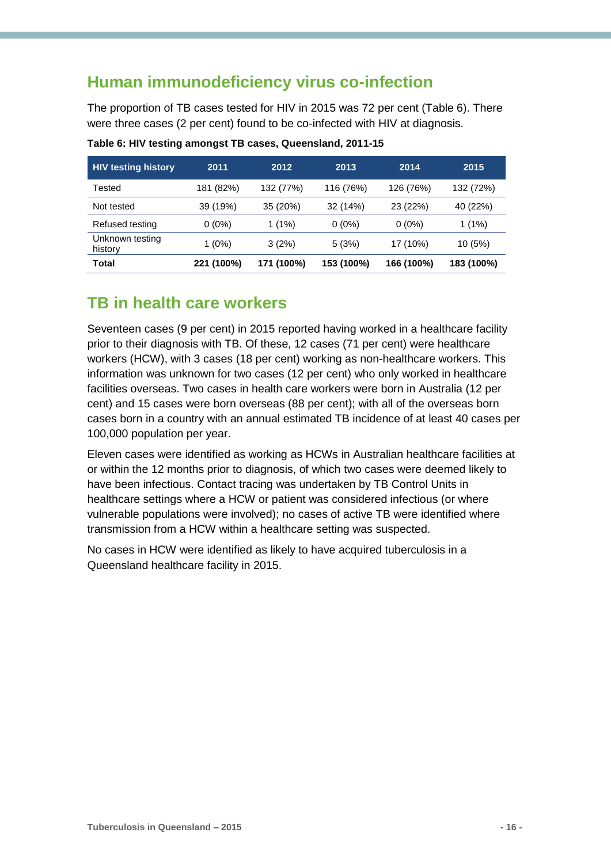### <span id="page-15-0"></span>**Human immunodeficiency virus co-infection**

The proportion of TB cases tested for HIV in 2015 was 72 per cent (Table 6). There were three cases (2 per cent) found to be co-infected with HIV at diagnosis.

| <b>HIV testing history</b> | 2011       | 2012       | 2013       | 2014       | 2015       |
|----------------------------|------------|------------|------------|------------|------------|
| Tested                     | 181 (82%)  | 132 (77%)  | 116 (76%)  | 126 (76%)  | 132 (72%)  |
| Not tested                 | 39 (19%)   | 35 (20%)   | 32 (14%)   | 23 (22%)   | 40 (22%)   |
| Refused testing            | $0(0\%)$   | $1(1\%)$   | $0(0\%)$   | $0(0\%)$   | $1(1\%)$   |
| Unknown testing<br>history | $1(0\%)$   | 3(2%)      | 5(3%)      | 17 (10%)   | 10 (5%)    |
| <b>Total</b>               | 221 (100%) | 171 (100%) | 153 (100%) | 166 (100%) | 183 (100%) |

<span id="page-15-2"></span>**Table 6: HIV testing amongst TB cases, Queensland, 2011-15**

#### <span id="page-15-1"></span>**TB in health care workers**

Seventeen cases (9 per cent) in 2015 reported having worked in a healthcare facility prior to their diagnosis with TB. Of these, 12 cases (71 per cent) were healthcare workers (HCW), with 3 cases (18 per cent) working as non-healthcare workers. This information was unknown for two cases (12 per cent) who only worked in healthcare facilities overseas. Two cases in health care workers were born in Australia (12 per cent) and 15 cases were born overseas (88 per cent); with all of the overseas born cases born in a country with an annual estimated TB incidence of at least 40 cases per 100,000 population per year.

Eleven cases were identified as working as HCWs in Australian healthcare facilities at or within the 12 months prior to diagnosis, of which two cases were deemed likely to have been infectious. Contact tracing was undertaken by TB Control Units in healthcare settings where a HCW or patient was considered infectious (or where vulnerable populations were involved); no cases of active TB were identified where transmission from a HCW within a healthcare setting was suspected.

No cases in HCW were identified as likely to have acquired tuberculosis in a Queensland healthcare facility in 2015.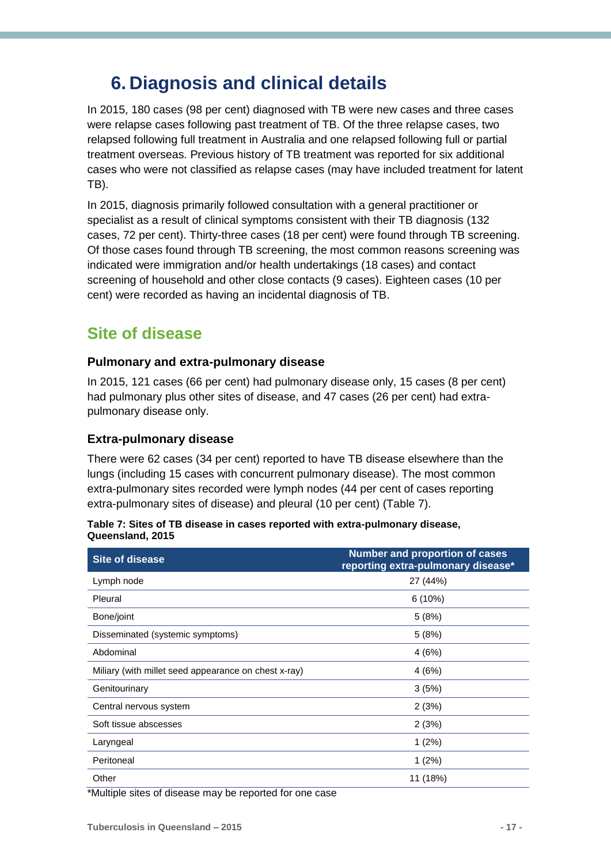## <span id="page-16-0"></span>**6. Diagnosis and clinical details**

In 2015, 180 cases (98 per cent) diagnosed with TB were new cases and three cases were relapse cases following past treatment of TB. Of the three relapse cases, two relapsed following full treatment in Australia and one relapsed following full or partial treatment overseas. Previous history of TB treatment was reported for six additional cases who were not classified as relapse cases (may have included treatment for latent TB).

In 2015, diagnosis primarily followed consultation with a general practitioner or specialist as a result of clinical symptoms consistent with their TB diagnosis (132 cases, 72 per cent). Thirty-three cases (18 per cent) were found through TB screening. Of those cases found through TB screening, the most common reasons screening was indicated were immigration and/or health undertakings (18 cases) and contact screening of household and other close contacts (9 cases). Eighteen cases (10 per cent) were recorded as having an incidental diagnosis of TB.

### <span id="page-16-1"></span>**Site of disease**

#### **Pulmonary and extra-pulmonary disease**

In 2015, 121 cases (66 per cent) had pulmonary disease only, 15 cases (8 per cent) had pulmonary plus other sites of disease, and 47 cases (26 per cent) had extrapulmonary disease only.

#### **Extra-pulmonary disease**

There were 62 cases (34 per cent) reported to have TB disease elsewhere than the lungs (including 15 cases with concurrent pulmonary disease). The most common extra-pulmonary sites recorded were lymph nodes (44 per cent of cases reporting extra-pulmonary sites of disease) and pleural (10 per cent) (Table 7).

<span id="page-16-2"></span>**Table 7: Sites of TB disease in cases reported with extra-pulmonary disease, Queensland, 2015**

| <b>Site of disease</b>                               | <b>Number and proportion of cases</b><br>reporting extra-pulmonary disease* |
|------------------------------------------------------|-----------------------------------------------------------------------------|
| Lymph node                                           | 27 (44%)                                                                    |
| Pleural                                              | $6(10\%)$                                                                   |
| Bone/joint                                           | 5(8%)                                                                       |
| Disseminated (systemic symptoms)                     | 5(8%)                                                                       |
| Abdominal                                            | 4(6%)                                                                       |
| Miliary (with millet seed appearance on chest x-ray) | 4(6%)                                                                       |
| Genitourinary                                        | 3(5%)                                                                       |
| Central nervous system                               | 2(3%)                                                                       |
| Soft tissue abscesses                                | 2(3%)                                                                       |
| Laryngeal                                            | $1(2\%)$                                                                    |
| Peritoneal                                           | $1(2\%)$                                                                    |
| Other                                                | 11 (18%)                                                                    |

\*Multiple sites of disease may be reported for one case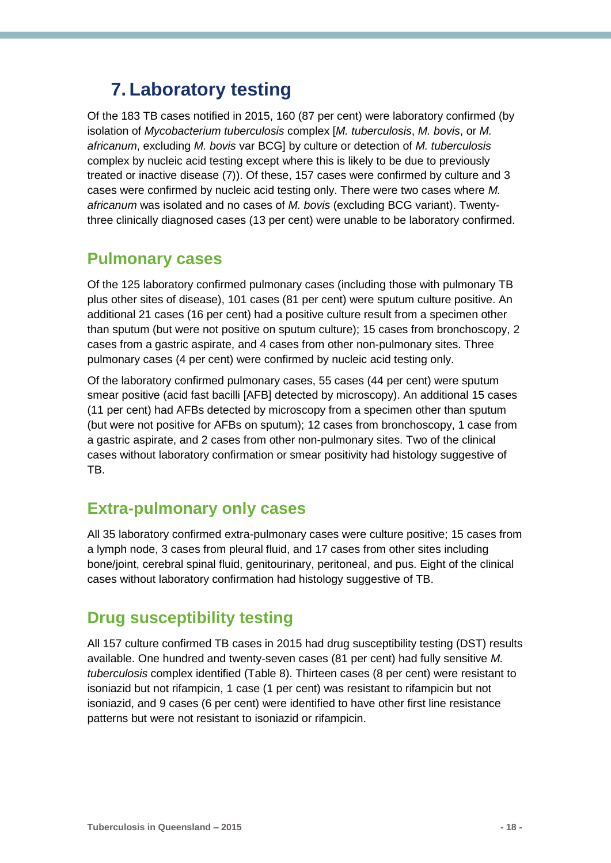## <span id="page-17-0"></span>**7. Laboratory testing**

Of the 183 TB cases notified in 2015, 160 (87 per cent) were laboratory confirmed (by isolation of *Mycobacterium tuberculosis* complex [*M. tuberculosis*, *M. bovis*, or *M. africanum*, excluding *M. bovis* var BCG] by culture or detection of *M. tuberculosis* complex by nucleic acid testing except where this is likely to be due to previously treated or inactive disease (7)). Of these, 157 cases were confirmed by culture and 3 cases were confirmed by nucleic acid testing only. There were two cases where *M. africanum* was isolated and no cases of *M. bovis* (excluding BCG variant). Twentythree clinically diagnosed cases (13 per cent) were unable to be laboratory confirmed.

#### <span id="page-17-1"></span>**Pulmonary cases**

Of the 125 laboratory confirmed pulmonary cases (including those with pulmonary TB plus other sites of disease), 101 cases (81 per cent) were sputum culture positive. An additional 21 cases (16 per cent) had a positive culture result from a specimen other than sputum (but were not positive on sputum culture); 15 cases from bronchoscopy, 2 cases from a gastric aspirate, and 4 cases from other non-pulmonary sites. Three pulmonary cases (4 per cent) were confirmed by nucleic acid testing only.

Of the laboratory confirmed pulmonary cases, 55 cases (44 per cent) were sputum smear positive (acid fast bacilli [AFB] detected by microscopy). An additional 15 cases (11 per cent) had AFBs detected by microscopy from a specimen other than sputum (but were not positive for AFBs on sputum); 12 cases from bronchoscopy, 1 case from a gastric aspirate, and 2 cases from other non-pulmonary sites. Two of the clinical cases without laboratory confirmation or smear positivity had histology suggestive of TB.

### <span id="page-17-2"></span>**Extra-pulmonary only cases**

All 35 laboratory confirmed extra-pulmonary cases were culture positive; 15 cases from a lymph node, 3 cases from pleural fluid, and 17 cases from other sites including bone/joint, cerebral spinal fluid, genitourinary, peritoneal, and pus. Eight of the clinical cases without laboratory confirmation had histology suggestive of TB.

### <span id="page-17-3"></span>**Drug susceptibility testing**

All 157 culture confirmed TB cases in 2015 had drug susceptibility testing (DST) results available. One hundred and twenty-seven cases (81 per cent) had fully sensitive *M. tuberculosis* complex identified (Table 8). Thirteen cases (8 per cent) were resistant to isoniazid but not rifampicin, 1 case (1 per cent) was resistant to rifampicin but not isoniazid, and 9 cases (6 per cent) were identified to have other first line resistance patterns but were not resistant to isoniazid or rifampicin.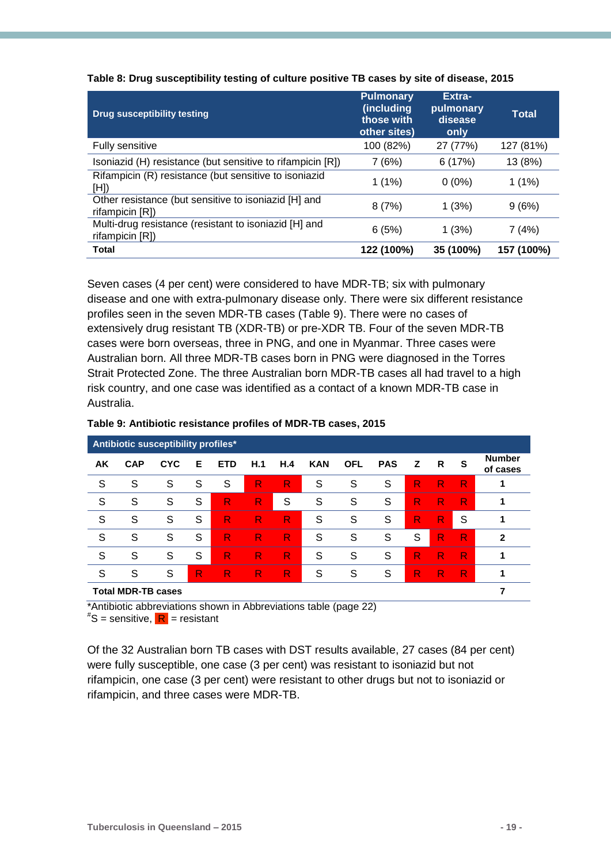| <b>Drug susceptibility testing</b>                                       | <b>Pulmonary</b><br>(including<br>those with<br>other sites) | Extra-<br>pulmonary<br>disease<br>only | Total      |
|--------------------------------------------------------------------------|--------------------------------------------------------------|----------------------------------------|------------|
| <b>Fully sensitive</b>                                                   | 100 (82%)                                                    | 27 (77%)                               | 127 (81%)  |
| Isoniazid (H) resistance (but sensitive to rifampicin [R])               | 7 (6%)                                                       | 6(17%)                                 | 13 (8%)    |
| Rifampicin (R) resistance (but sensitive to isoniazid<br>[H]             | $1(1\%)$                                                     | $0(0\%)$                               | $1(1\%)$   |
| Other resistance (but sensitive to isoniazid [H] and<br>rifampicin [R])  | 8(7%)                                                        | 1(3%)                                  | 9(6%)      |
| Multi-drug resistance (resistant to isoniazid [H] and<br>rifampicin [R]) | 6(5%)                                                        | 1(3%)                                  | 7 (4%)     |
| <b>Total</b>                                                             | 122 (100%)                                                   | 35 (100%)                              | 157 (100%) |

<span id="page-18-0"></span>**Table 8: Drug susceptibility testing of culture positive TB cases by site of disease, 2015**

Seven cases (4 per cent) were considered to have MDR-TB; six with pulmonary disease and one with extra-pulmonary disease only. There were six different resistance profiles seen in the seven MDR-TB cases (Table 9). There were no cases of extensively drug resistant TB (XDR-TB) or pre-XDR TB. Four of the seven MDR-TB cases were born overseas, three in PNG, and one in Myanmar. Three cases were Australian born. All three MDR-TB cases born in PNG were diagnosed in the Torres Strait Protected Zone. The three Australian born MDR-TB cases all had travel to a high risk country, and one case was identified as a contact of a known MDR-TB case in Australia.

| Antibiotic susceptibility profiles* |            |            |   |            |     |     |            |            |            |              |    |   |                           |
|-------------------------------------|------------|------------|---|------------|-----|-----|------------|------------|------------|--------------|----|---|---------------------------|
| AK                                  | <b>CAP</b> | <b>CYC</b> | Е | <b>ETD</b> | H.1 | H.4 | <b>KAN</b> | <b>OFL</b> | <b>PAS</b> | $\mathsf{Z}$ | R  | S | <b>Number</b><br>of cases |
| S                                   | S          | S          | S | S          | R   | R   | S          | S          | S          | R            | R. | R | 1                         |
| S                                   | S          | S          | S | R          | R   | S   | S          | S          | S          | R            | R  | R | 1                         |
| S                                   | S          | S          | S | R          | R   | R   | S          | S          | S          | R            | R  | S | 1                         |
| S                                   | S          | S          | S | R          | R   | R   | S          | S          | S          | S            | R  | R | $\mathbf{2}$              |
| S                                   | S          | S          | S | R          | R.  | R   | S          | S          | S          | R            | R. | R | 1                         |
| S                                   | S          | S          | R | R          | R   | R   | S          | S          | S          | R            | R  | R | 1                         |
| <b>Total MDR-TB cases</b>           |            |            |   |            |     |     |            |            |            |              |    |   |                           |

#### <span id="page-18-1"></span>**Table 9: Antibiotic resistance profiles of MDR-TB cases, 2015**

\*Antibiotic abbreviations shown in Abbreviations table (page 22)

 $^{\#}$ S = sensitive,  $\boxed{\mathsf{R}}$  = resistant

Of the 32 Australian born TB cases with DST results available, 27 cases (84 per cent) were fully susceptible, one case (3 per cent) was resistant to isoniazid but not rifampicin, one case (3 per cent) were resistant to other drugs but not to isoniazid or rifampicin, and three cases were MDR-TB.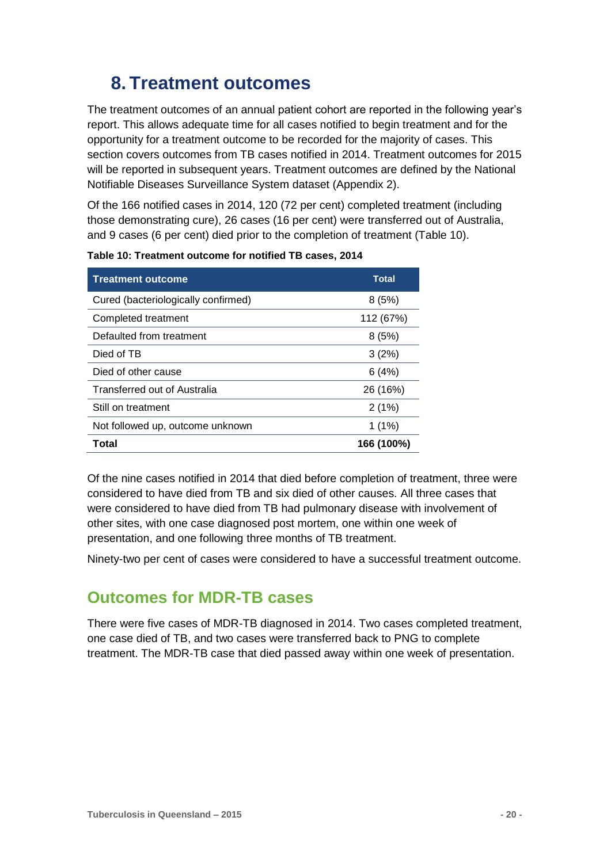## <span id="page-19-0"></span>**8. Treatment outcomes**

The treatment outcomes of an annual patient cohort are reported in the following year's report. This allows adequate time for all cases notified to begin treatment and for the opportunity for a treatment outcome to be recorded for the majority of cases. This section covers outcomes from TB cases notified in 2014. Treatment outcomes for 2015 will be reported in subsequent years. Treatment outcomes are defined by the National Notifiable Diseases Surveillance System dataset (Appendix 2).

Of the 166 notified cases in 2014, 120 (72 per cent) completed treatment (including those demonstrating cure), 26 cases (16 per cent) were transferred out of Australia, and 9 cases (6 per cent) died prior to the completion of treatment (Table 10).

| <b>Treatment outcome</b>            | <b>Total</b> |
|-------------------------------------|--------------|
| Cured (bacteriologically confirmed) | 8(5%)        |
| Completed treatment                 | 112 (67%)    |
| Defaulted from treatment            | 8(5%)        |
| Died of TB                          | 3(2%)        |
| Died of other cause                 | 6(4%)        |
| Transferred out of Australia        | 26 (16%)     |
| Still on treatment                  | 2(1%)        |
| Not followed up, outcome unknown    | $1(1\%)$     |
| Total                               | 166 (100%)   |

<span id="page-19-2"></span>**Table 10: Treatment outcome for notified TB cases, 2014**

Of the nine cases notified in 2014 that died before completion of treatment, three were considered to have died from TB and six died of other causes. All three cases that were considered to have died from TB had pulmonary disease with involvement of other sites, with one case diagnosed post mortem, one within one week of presentation, and one following three months of TB treatment.

Ninety-two per cent of cases were considered to have a successful treatment outcome.

### <span id="page-19-1"></span>**Outcomes for MDR-TB cases**

There were five cases of MDR-TB diagnosed in 2014. Two cases completed treatment, one case died of TB, and two cases were transferred back to PNG to complete treatment. The MDR-TB case that died passed away within one week of presentation.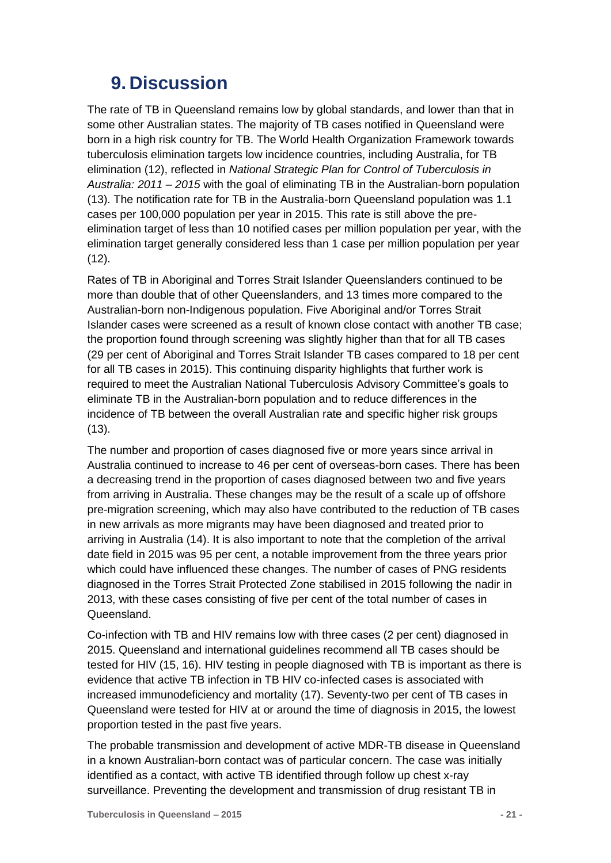## <span id="page-20-0"></span>**9. Discussion**

The rate of TB in Queensland remains low by global standards, and lower than that in some other Australian states. The majority of TB cases notified in Queensland were born in a high risk country for TB. The World Health Organization Framework towards tuberculosis elimination targets low incidence countries, including Australia, for TB elimination (12), reflected in *National Strategic Plan for Control of Tuberculosis in Australia: 2011 – 2015* with the goal of eliminating TB in the Australian-born population (13). The notification rate for TB in the Australia-born Queensland population was 1.1 cases per 100,000 population per year in 2015. This rate is still above the preelimination target of less than 10 notified cases per million population per year, with the elimination target generally considered less than 1 case per million population per year (12).

Rates of TB in Aboriginal and Torres Strait Islander Queenslanders continued to be more than double that of other Queenslanders, and 13 times more compared to the Australian-born non-Indigenous population. Five Aboriginal and/or Torres Strait Islander cases were screened as a result of known close contact with another TB case; the proportion found through screening was slightly higher than that for all TB cases (29 per cent of Aboriginal and Torres Strait Islander TB cases compared to 18 per cent for all TB cases in 2015). This continuing disparity highlights that further work is required to meet the Australian National Tuberculosis Advisory Committee's goals to eliminate TB in the Australian-born population and to reduce differences in the incidence of TB between the overall Australian rate and specific higher risk groups  $(13)$ .

The number and proportion of cases diagnosed five or more years since arrival in Australia continued to increase to 46 per cent of overseas-born cases. There has been a decreasing trend in the proportion of cases diagnosed between two and five years from arriving in Australia. These changes may be the result of a scale up of offshore pre-migration screening, which may also have contributed to the reduction of TB cases in new arrivals as more migrants may have been diagnosed and treated prior to arriving in Australia (14). It is also important to note that the completion of the arrival date field in 2015 was 95 per cent, a notable improvement from the three years prior which could have influenced these changes. The number of cases of PNG residents diagnosed in the Torres Strait Protected Zone stabilised in 2015 following the nadir in 2013, with these cases consisting of five per cent of the total number of cases in Queensland.

Co-infection with TB and HIV remains low with three cases (2 per cent) diagnosed in 2015. Queensland and international guidelines recommend all TB cases should be tested for HIV (15, 16). HIV testing in people diagnosed with TB is important as there is evidence that active TB infection in TB HIV co-infected cases is associated with increased immunodeficiency and mortality (17). Seventy-two per cent of TB cases in Queensland were tested for HIV at or around the time of diagnosis in 2015, the lowest proportion tested in the past five years.

The probable transmission and development of active MDR-TB disease in Queensland in a known Australian-born contact was of particular concern. The case was initially identified as a contact, with active TB identified through follow up chest x-ray surveillance. Preventing the development and transmission of drug resistant TB in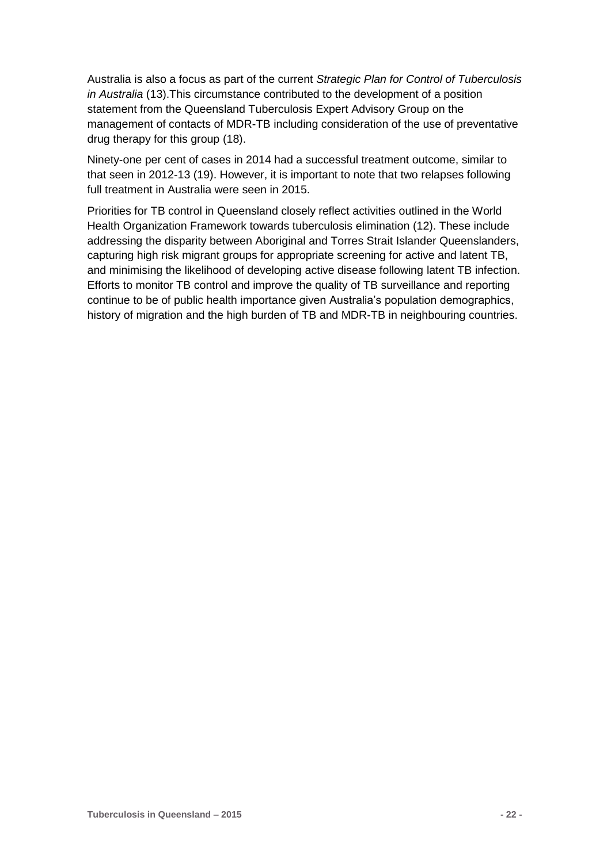Australia is also a focus as part of the current *Strategic Plan for Control of Tuberculosis in Australia* (13).This circumstance contributed to the development of a position statement from the Queensland Tuberculosis Expert Advisory Group on the management of contacts of MDR-TB including consideration of the use of preventative drug therapy for this group (18).

Ninety-one per cent of cases in 2014 had a successful treatment outcome, similar to that seen in 2012-13 (19). However, it is important to note that two relapses following full treatment in Australia were seen in 2015.

Priorities for TB control in Queensland closely reflect activities outlined in the World Health Organization Framework towards tuberculosis elimination (12). These include addressing the disparity between Aboriginal and Torres Strait Islander Queenslanders, capturing high risk migrant groups for appropriate screening for active and latent TB, and minimising the likelihood of developing active disease following latent TB infection. Efforts to monitor TB control and improve the quality of TB surveillance and reporting continue to be of public health importance given Australia's population demographics, history of migration and the high burden of TB and MDR-TB in neighbouring countries.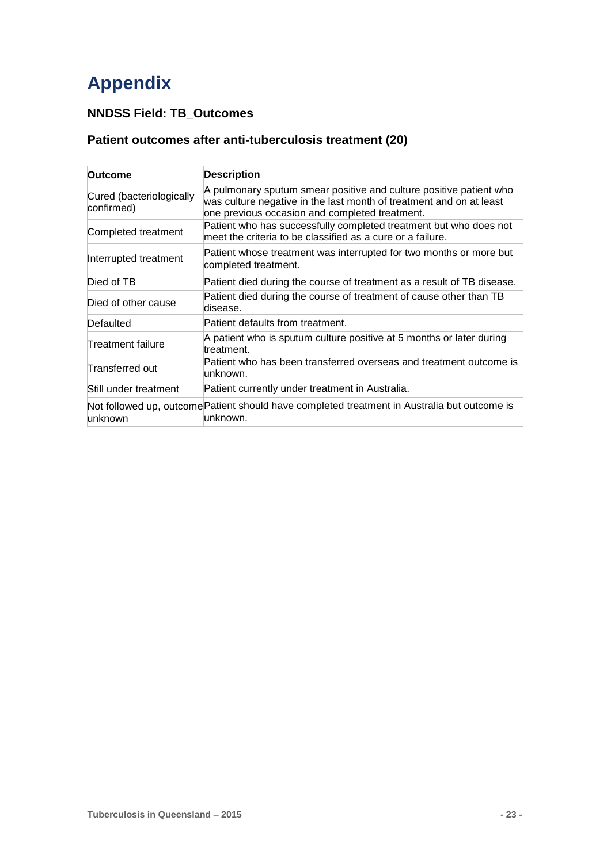## <span id="page-22-0"></span>**Appendix**

#### **NNDSS Field: TB\_Outcomes**

#### **Patient outcomes after anti-tuberculosis treatment (20)**

| Outcome                                | <b>Description</b>                                                                                                                                                                          |
|----------------------------------------|---------------------------------------------------------------------------------------------------------------------------------------------------------------------------------------------|
| Cured (bacteriologically<br>confirmed) | A pulmonary sputum smear positive and culture positive patient who<br>was culture negative in the last month of treatment and on at least<br>one previous occasion and completed treatment. |
| Completed treatment                    | Patient who has successfully completed treatment but who does not<br>meet the criteria to be classified as a cure or a failure.                                                             |
| Interrupted treatment                  | Patient whose treatment was interrupted for two months or more but<br>completed treatment.                                                                                                  |
| Died of TB                             | Patient died during the course of treatment as a result of TB disease.                                                                                                                      |
| Died of other cause                    | Patient died during the course of treatment of cause other than TB<br>disease.                                                                                                              |
| Defaulted                              | Patient defaults from treatment.                                                                                                                                                            |
| Treatment failure                      | A patient who is sputum culture positive at 5 months or later during<br>treatment.                                                                                                          |
| Transferred out                        | Patient who has been transferred overseas and treatment outcome is<br>unknown.                                                                                                              |
| Still under treatment                  | Patient currently under treatment in Australia.                                                                                                                                             |
| unknown                                | Not followed up, outcome Patient should have completed treatment in Australia but outcome is<br>unknown.                                                                                    |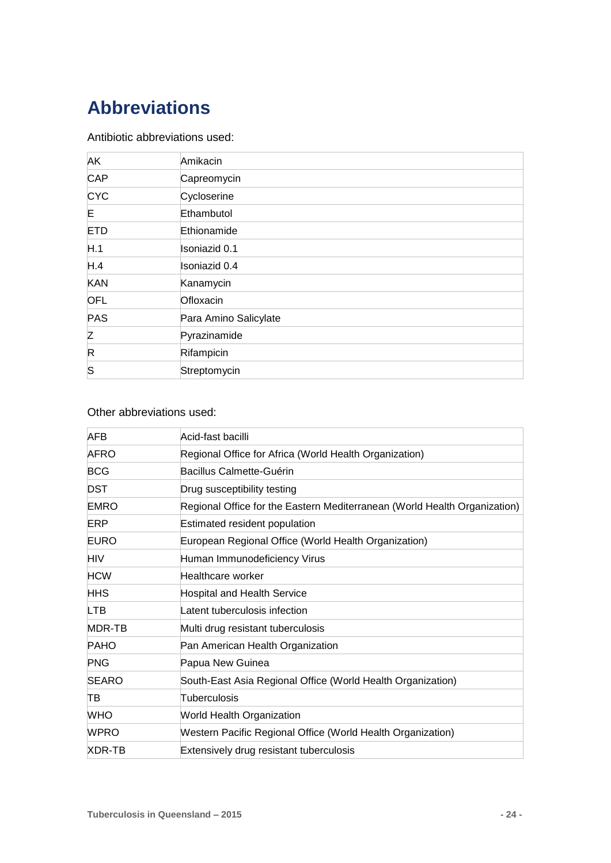## <span id="page-23-0"></span>**Abbreviations**

#### Antibiotic abbreviations used:

| AK          | Amikacin              |
|-------------|-----------------------|
| <b>CAP</b>  | Capreomycin           |
| <b>CYC</b>  | Cycloserine           |
| Е           | Ethambutol            |
| <b>ETD</b>  | Ethionamide           |
| H.1         | Isoniazid 0.1         |
| H.4         | Isoniazid 0.4         |
| <b>KAN</b>  | Kanamycin             |
| <b>OFL</b>  | Ofloxacin             |
| PAS         | Para Amino Salicylate |
| Z           | Pyrazinamide          |
| $\mathsf R$ | Rifampicin            |
| S           | Streptomycin          |

#### Other abbreviations used:

| <b>AFB</b>   | Acid-fast bacilli                                                         |
|--------------|---------------------------------------------------------------------------|
| <b>AFRO</b>  | Regional Office for Africa (World Health Organization)                    |
| <b>BCG</b>   | Bacillus Calmette-Guérin                                                  |
| <b>DST</b>   | Drug susceptibility testing                                               |
| <b>EMRO</b>  | Regional Office for the Eastern Mediterranean (World Health Organization) |
| ERP          | Estimated resident population                                             |
| <b>EURO</b>  | European Regional Office (World Health Organization)                      |
| HIV          | Human Immunodeficiency Virus                                              |
| <b>HCW</b>   | Healthcare worker                                                         |
| <b>HHS</b>   | <b>Hospital and Health Service</b>                                        |
| <b>LTB</b>   | Latent tuberculosis infection                                             |
| MDR-TB       | Multi drug resistant tuberculosis                                         |
| <b>PAHO</b>  | Pan American Health Organization                                          |
| <b>PNG</b>   | Papua New Guinea                                                          |
| <b>SEARO</b> | South-East Asia Regional Office (World Health Organization)               |
| TB           | Tuberculosis                                                              |
| <b>WHO</b>   | World Health Organization                                                 |
| <b>WPRO</b>  | Western Pacific Regional Office (World Health Organization)               |
| XDR-TB       | Extensively drug resistant tuberculosis                                   |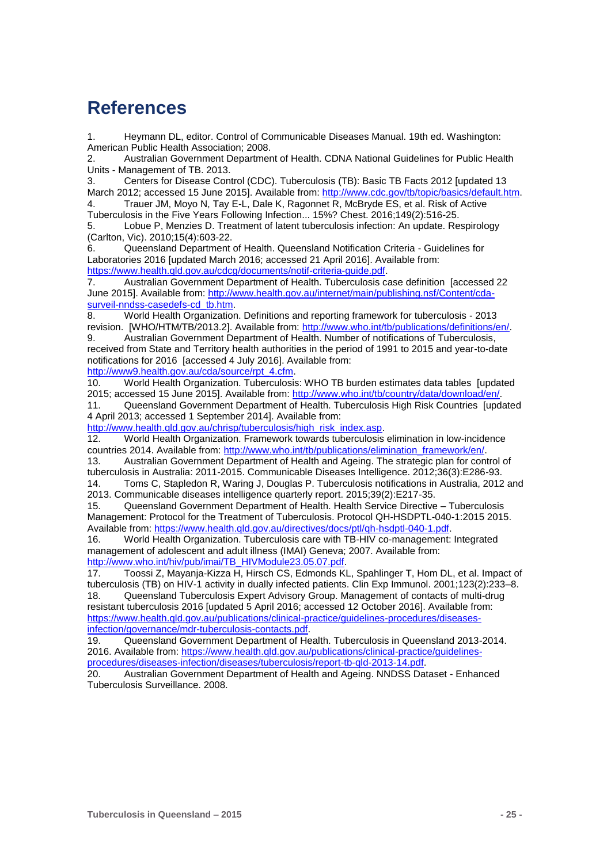## <span id="page-24-0"></span>**References**

1. Heymann DL, editor. Control of Communicable Diseases Manual. 19th ed. Washington: American Public Health Association; 2008.

2. Australian Government Department of Health. CDNA National Guidelines for Public Health Units - Management of TB. 2013.

3. Centers for Disease Control (CDC). Tuberculosis (TB): Basic TB Facts 2012 [updated 13 March 2012; accessed 15 June 2015]. Available from: [http://www.cdc.gov/tb/topic/basics/default.htm.](http://www.cdc.gov/tb/topic/basics/default.htm) 4. Trauer JM, Moyo N, Tay E-L, Dale K, Ragonnet R, McBryde ES, et al. Risk of Active

Tuberculosis in the Five Years Following Infection... 15%? Chest. 2016;149(2):516-25. 5. Lobue P, Menzies D. Treatment of latent tuberculosis infection: An update. Respirology

(Carlton, Vic). 2010;15(4):603-22.

6. Queensland Department of Health. Queensland Notification Criteria - Guidelines for Laboratories 2016 [updated March 2016; accessed 21 April 2016]. Available from: [https://www.health.qld.gov.au/cdcg/documents/notif-criteria-guide.pdf.](https://www.health.qld.gov.au/cdcg/documents/notif-criteria-guide.pdf)

7. Australian Government Department of Health. Tuberculosis case definition [accessed 22 June 2015]. Available from: [http://www.health.gov.au/internet/main/publishing.nsf/Content/cda](http://www.health.gov.au/internet/main/publishing.nsf/Content/cda-surveil-nndss-casedefs-cd_tb.htm)[surveil-nndss-casedefs-cd\\_tb.htm.](http://www.health.gov.au/internet/main/publishing.nsf/Content/cda-surveil-nndss-casedefs-cd_tb.htm)

8. World Health Organization. Definitions and reporting framework for tuberculosis - 2013 revision. [WHO/HTM/TB/2013.2]. Available from: [http://www.who.int/tb/publications/definitions/en/.](http://www.who.int/tb/publications/definitions/en/)

9. Australian Government Department of Health. Number of notifications of Tuberculosis, received from State and Territory health authorities in the period of 1991 to 2015 and year-to-date notifications for 2016 [accessed 4 July 2016]. Available from: [http://www9.health.gov.au/cda/source/rpt\\_4.cfm.](http://www9.health.gov.au/cda/source/rpt_4.cfm)

10. World Health Organization. Tuberculosis: WHO TB burden estimates data tables [updated 2015; accessed 15 June 2015]. Available from: [http://www.who.int/tb/country/data/download/en/.](http://www.who.int/tb/country/data/download/en/)

11. Queensland Government Department of Health. Tuberculosis High Risk Countries [updated 4 April 2013; accessed 1 September 2014]. Available from:

[http://www.health.qld.gov.au/chrisp/tuberculosis/high\\_risk\\_index.asp.](http://www.health.qld.gov.au/chrisp/tuberculosis/high_risk_index.asp)

12. World Health Organization. Framework towards tuberculosis elimination in low-incidence countries 2014. Available from: [http://www.who.int/tb/publications/elimination\\_framework/en/.](http://www.who.int/tb/publications/elimination_framework/en/)

13. Australian Government Department of Health and Ageing. The strategic plan for control of tuberculosis in Australia: 2011-2015. Communicable Diseases Intelligence. 2012;36(3):E286-93.

Toms C, Stapledon R, Waring J, Douglas P. Tuberculosis notifications in Australia, 2012 and 2013. Communicable diseases intelligence quarterly report. 2015;39(2):E217-35.

15. Queensland Government Department of Health. Health Service Directive – Tuberculosis Management: Protocol for the Treatment of Tuberculosis. Protocol QH-HSDPTL-040-1:2015 2015. Available from: [https://www.health.qld.gov.au/directives/docs/ptl/qh-hsdptl-040-1.pdf.](https://www.health.qld.gov.au/directives/docs/ptl/qh-hsdptl-040-1.pdf)

16. World Health Organization. Tuberculosis care with TB-HIV co-management: Integrated management of adolescent and adult illness (IMAI) Geneva; 2007. Available from: [http://www.who.int/hiv/pub/imai/TB\\_HIVModule23.05.07.pdf.](http://www.who.int/hiv/pub/imai/TB_HIVModule23.05.07.pdf)

17. Toossi Z, Mayanja-Kizza H, Hirsch CS, Edmonds KL, Spahlinger T, Hom DL, et al. Impact of tuberculosis (TB) on HIV-1 activity in dually infected patients. Clin Exp Immunol. 2001;123(2):233–8. 18. Queensland Tuberculosis Expert Advisory Group. Management of contacts of multi-drug resistant tuberculosis 2016 [updated 5 April 2016; accessed 12 October 2016]. Available from: [https://www.health.qld.gov.au/publications/clinical-practice/guidelines-procedures/diseases](https://www.health.qld.gov.au/publications/clinical-practice/guidelines-procedures/diseases-infection/governance/mdr-tuberculosis-contacts.pdf)[infection/governance/mdr-tuberculosis-contacts.pdf.](https://www.health.qld.gov.au/publications/clinical-practice/guidelines-procedures/diseases-infection/governance/mdr-tuberculosis-contacts.pdf)

19. Queensland Government Department of Health. Tuberculosis in Queensland 2013-2014. 2016. Available from: [https://www.health.qld.gov.au/publications/clinical-practice/guidelines](https://www.health.qld.gov.au/publications/clinical-practice/guidelines-procedures/diseases-infection/diseases/tuberculosis/report-tb-qld-2013-14.pdf)[procedures/diseases-infection/diseases/tuberculosis/report-tb-qld-2013-14.pdf.](https://www.health.qld.gov.au/publications/clinical-practice/guidelines-procedures/diseases-infection/diseases/tuberculosis/report-tb-qld-2013-14.pdf)

20. Australian Government Department of Health and Ageing. NNDSS Dataset - Enhanced Tuberculosis Surveillance. 2008.